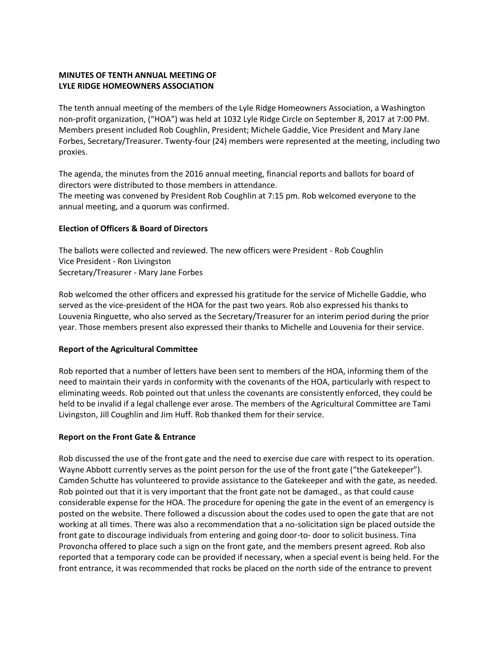# **MINUTES OF TENTH ANNUAL MEETING OF LYLE RIDGE HOMEOWNERS ASSOCIATION**

The tenth annual meeting of the members of the Lyle Ridge Homeowners Association, a Washington non-profit organization, ("HOA") was held at 1032 Lyle Ridge Circle on September 8, 2017 at 7:00 PM. Members present included Rob Coughlin, President; Michele Gaddie, Vice President and Mary Jane Forbes, Secretary/Treasurer. Twenty-four (24) members were represented at the meeting, including two proxies.

The agenda, the minutes from the 2016 annual meeting, financial reports and ballots for board of directors were distributed to those members in attendance.

The meeting was convened by President Rob Coughlin at 7:15 pm. Rob welcomed everyone to the annual meeting, and a quorum was confirmed.

### **Election of Officers & Board of Directors**

The ballots were collected and reviewed. The new officers were President - Rob Coughlin Vice President - Ron Livingston Secretary/Treasurer - Mary Jane Forbes

Rob welcomed the other officers and expressed his gratitude for the service of Michelle Gaddie, who served as the vice-president of the HOA for the past two years. Rob also expressed his thanks to Louvenia Ringuette, who also served as the Secretary/Treasurer for an interim period during the prior year. Those members present also expressed their thanks to Michelle and Louvenia for their service.

### **Report of the Agricultural Committee**

Rob reported that a number of letters have been sent to members of the HOA, informing them of the need to maintain their yards in conformity with the covenants of the HOA, particularly with respect to eliminating weeds. Rob pointed out that unless the covenants are consistently enforced, they could be held to be invalid if a legal challenge ever arose. The members of the Agricultural Committee are Tami Livingston, Jill Coughlin and Jim Huff. Rob thanked them for their service.

# **Report on the Front Gate & Entrance**

Rob discussed the use of the front gate and the need to exercise due care with respect to its operation. Wayne Abbott currently serves as the point person for the use of the front gate ("the Gatekeeper"). Camden Schutte has volunteered to provide assistance to the Gatekeeper and with the gate, as needed. Rob pointed out that it is very important that the front gate not be damaged., as that could cause considerable expense for the HOA. The procedure for opening the gate in the event of an emergency is posted on the website. There followed a discussion about the codes used to open the gate that are not working at all times. There was also a recommendation that a no-solicitation sign be placed outside the front gate to discourage individuals from entering and going door-to- door to solicit business. Tina Provoncha offered to place such a sign on the front gate, and the members present agreed. Rob also reported that a temporary code can be provided if necessary, when a special event is being held. For the front entrance, it was recommended that rocks be placed on the north side of the entrance to prevent